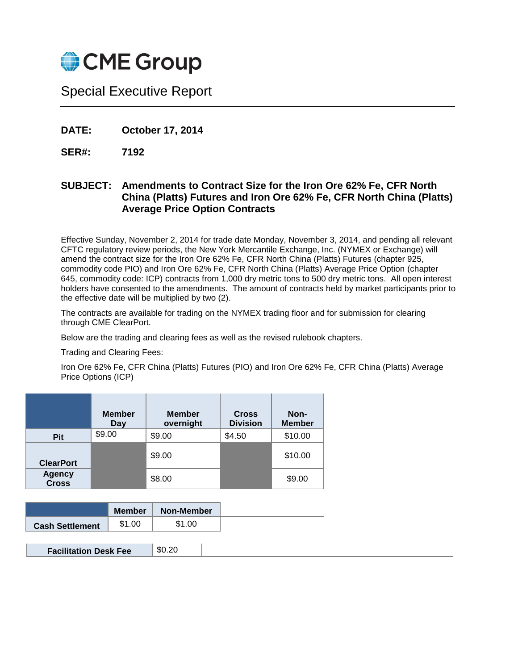

# Special Executive Report

**DATE: October 17, 2014**

**SER#: 7192**

# **SUBJECT: Amendments to Contract Size for the Iron Ore 62% Fe, CFR North China (Platts) Futures and Iron Ore 62% Fe, CFR North China (Platts) Average Price Option Contracts**

Effective Sunday, November 2, 2014 for trade date Monday, November 3, 2014, and pending all relevant CFTC regulatory review periods, the New York Mercantile Exchange, Inc. (NYMEX or Exchange) will amend the contract size for the Iron Ore 62% Fe, CFR North China (Platts) Futures (chapter 925, commodity code PIO) and Iron Ore 62% Fe, CFR North China (Platts) Average Price Option (chapter 645, commodity code: ICP) contracts from 1,000 dry metric tons to 500 dry metric tons. All open interest holders have consented to the amendments. The amount of contracts held by market participants prior to the effective date will be multiplied by two (2).

The contracts are available for trading on the NYMEX trading floor and for submission for clearing through CME ClearPort.

Below are the trading and clearing fees as well as the revised rulebook chapters.

Trading and Clearing Fees:

Iron Ore 62% Fe, CFR China (Platts) Futures (PIO) and Iron Ore 62% Fe, CFR China (Platts) Average Price Options (ICP)

|                               | <b>Member</b><br><b>Day</b> | <b>Member</b><br>overnight | <b>Cross</b><br><b>Division</b> | Non-<br><b>Member</b> |
|-------------------------------|-----------------------------|----------------------------|---------------------------------|-----------------------|
| <b>Pit</b>                    | \$9.00                      | \$9.00                     | \$4.50                          | \$10.00               |
| <b>ClearPort</b>              |                             | \$9.00                     |                                 | \$10.00               |
| <b>Agency</b><br><b>Cross</b> |                             | \$8.00                     |                                 | \$9.00                |

| \$1.00<br>\$1.00<br><b>Cash Settlement</b> |
|--------------------------------------------|

|  | \$0.20 | <b>Facilitation Desk Fee</b> |
|--|--------|------------------------------|
|--|--------|------------------------------|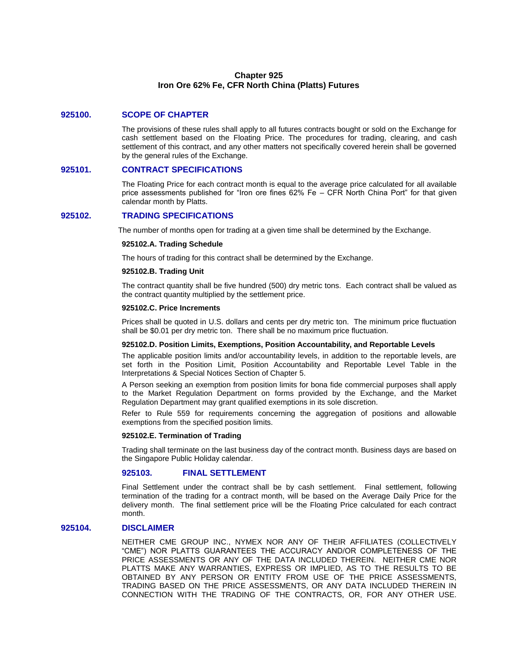# **Chapter 925 Iron Ore 62% Fe, CFR North China (Platts) Futures**

# **925100. SCOPE OF CHAPTER**

The provisions of these rules shall apply to all futures contracts bought or sold on the Exchange for cash settlement based on the Floating Price. The procedures for trading, clearing, and cash settlement of this contract, and any other matters not specifically covered herein shall be governed by the general rules of the Exchange.

#### **925101. CONTRACT SPECIFICATIONS**

The Floating Price for each contract month is equal to the average price calculated for all available price assessments published for "Iron ore fines 62% Fe – CFR North China Port" for that given calendar month by Platts.

# **925102. TRADING SPECIFICATIONS**

The number of months open for trading at a given time shall be determined by the Exchange.

#### **925102.A. Trading Schedule**

The hours of trading for this contract shall be determined by the Exchange.

#### **925102.B. Trading Unit**

The contract quantity shall be five hundred (500) dry metric tons. Each contract shall be valued as the contract quantity multiplied by the settlement price.

# **925102.C. Price Increments**

Prices shall be quoted in U.S. dollars and cents per dry metric ton. The minimum price fluctuation shall be \$0.01 per dry metric ton. There shall be no maximum price fluctuation.

#### **925102.D. Position Limits, Exemptions, Position Accountability, and Reportable Levels**

The applicable position limits and/or accountability levels, in addition to the reportable levels, are set forth in the Position Limit, Position Accountability and Reportable Level Table in the Interpretations & Special Notices Section of Chapter 5.

A Person seeking an exemption from position limits for bona fide commercial purposes shall apply to the Market Regulation Department on forms provided by the Exchange, and the Market Regulation Department may grant qualified exemptions in its sole discretion.

Refer to Rule 559 for requirements concerning the aggregation of positions and allowable exemptions from the specified position limits.

#### **925102.E. Termination of Trading**

Trading shall terminate on the last business day of the contract month. Business days are based on the Singapore Public Holiday calendar.

#### **925103. FINAL SETTLEMENT**

Final Settlement under the contract shall be by cash settlement. Final settlement, following termination of the trading for a contract month, will be based on the Average Daily Price for the delivery month. The final settlement price will be the Floating Price calculated for each contract month.

# **925104. DISCLAIMER**

NEITHER CME GROUP INC., NYMEX NOR ANY OF THEIR AFFILIATES (COLLECTIVELY "CME") NOR PLATTS GUARANTEES THE ACCURACY AND/OR COMPLETENESS OF THE PRICE ASSESSMENTS OR ANY OF THE DATA INCLUDED THEREIN. NEITHER CME NOR PLATTS MAKE ANY WARRANTIES, EXPRESS OR IMPLIED, AS TO THE RESULTS TO BE OBTAINED BY ANY PERSON OR ENTITY FROM USE OF THE PRICE ASSESSMENTS, TRADING BASED ON THE PRICE ASSESSMENTS, OR ANY DATA INCLUDED THEREIN IN CONNECTION WITH THE TRADING OF THE CONTRACTS, OR, FOR ANY OTHER USE.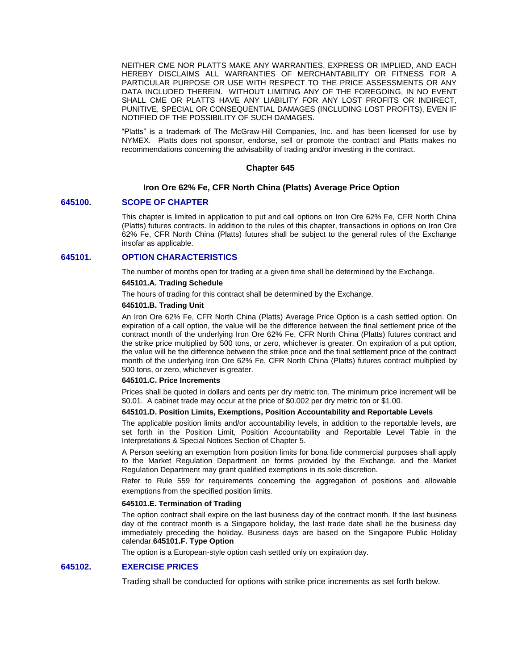NEITHER CME NOR PLATTS MAKE ANY WARRANTIES, EXPRESS OR IMPLIED, AND EACH HEREBY DISCLAIMS ALL WARRANTIES OF MERCHANTABILITY OR FITNESS FOR A PARTICULAR PURPOSE OR USE WITH RESPECT TO THE PRICE ASSESSMENTS OR ANY DATA INCLUDED THEREIN. WITHOUT LIMITING ANY OF THE FOREGOING, IN NO EVENT SHALL CME OR PLATTS HAVE ANY LIABILITY FOR ANY LOST PROFITS OR INDIRECT, PUNITIVE, SPECIAL OR CONSEQUENTIAL DAMAGES (INCLUDING LOST PROFITS), EVEN IF NOTIFIED OF THE POSSIBILITY OF SUCH DAMAGES.

"Platts" is a trademark of The McGraw-Hill Companies, Inc. and has been licensed for use by NYMEX. Platts does not sponsor, endorse, sell or promote the contract and Platts makes no recommendations concerning the advisability of trading and/or investing in the contract.

#### **Chapter 645**

# **Iron Ore 62% Fe, CFR North China (Platts) Average Price Option**

#### **645100. SCOPE OF CHAPTER**

This chapter is limited in application to put and call options on Iron Ore 62% Fe, CFR North China (Platts) futures contracts. In addition to the rules of this chapter, transactions in options on Iron Ore 62% Fe, CFR North China (Platts) futures shall be subject to the general rules of the Exchange insofar as applicable.

# **645101. OPTION CHARACTERISTICS**

The number of months open for trading at a given time shall be determined by the Exchange.

# **645101.A. Trading Schedule**

The hours of trading for this contract shall be determined by the Exchange.

#### **645101.B. Trading Unit**

An Iron Ore 62% Fe, CFR North China (Platts) Average Price Option is a cash settled option. On expiration of a call option, the value will be the difference between the final settlement price of the contract month of the underlying Iron Ore 62% Fe, CFR North China (Platts) futures contract and the strike price multiplied by 500 tons, or zero, whichever is greater. On expiration of a put option, the value will be the difference between the strike price and the final settlement price of the contract month of the underlying Iron Ore 62% Fe, CFR North China (Platts) futures contract multiplied by 500 tons, or zero, whichever is greater.

#### **645101.C. Price Increments**

Prices shall be quoted in dollars and cents per dry metric ton. The minimum price increment will be \$0.01. A cabinet trade may occur at the price of \$0.002 per dry metric ton or \$1.00.

#### **645101.D. Position Limits, Exemptions, Position Accountability and Reportable Levels**

The applicable position limits and/or accountability levels, in addition to the reportable levels, are set forth in the Position Limit, Position Accountability and Reportable Level Table in the Interpretations & Special Notices Section of Chapter 5.

A Person seeking an exemption from position limits for bona fide commercial purposes shall apply to the Market Regulation Department on forms provided by the Exchange, and the Market Regulation Department may grant qualified exemptions in its sole discretion.

Refer to Rule 559 for requirements concerning the aggregation of positions and allowable exemptions from the specified position limits.

#### **645101.E. Termination of Trading**

The option contract shall expire on the last business day of the contract month. If the last business day of the contract month is a Singapore holiday, the last trade date shall be the business day immediately preceding the holiday. Business days are based on the Singapore Public Holiday calendar.**645101.F. Type Option**

The option is a European-style option cash settled only on expiration day.

# **645102. EXERCISE PRICES**

Trading shall be conducted for options with strike price increments as set forth below.